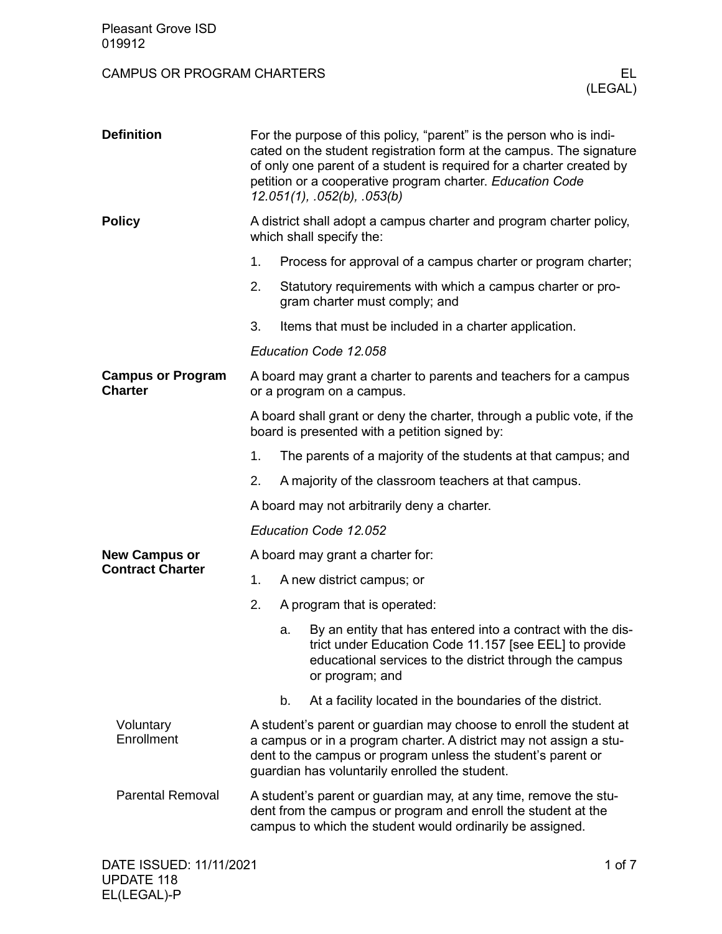| <b>Pleasant Grove ISD</b><br>019912             |                                                                                                                                                                                                                                                                                                                        |                                                                                                                                                                                                                                                            |  |  |
|-------------------------------------------------|------------------------------------------------------------------------------------------------------------------------------------------------------------------------------------------------------------------------------------------------------------------------------------------------------------------------|------------------------------------------------------------------------------------------------------------------------------------------------------------------------------------------------------------------------------------------------------------|--|--|
| <b>CAMPUS OR PROGRAM CHARTERS</b>               |                                                                                                                                                                                                                                                                                                                        | EL.<br>(LEGAL)                                                                                                                                                                                                                                             |  |  |
| <b>Definition</b>                               | For the purpose of this policy, "parent" is the person who is indi-<br>cated on the student registration form at the campus. The signature<br>of only one parent of a student is required for a charter created by<br>petition or a cooperative program charter. Education Code<br>$12.051(1)$ , $.052(b)$ , $.053(b)$ |                                                                                                                                                                                                                                                            |  |  |
| <b>Policy</b>                                   |                                                                                                                                                                                                                                                                                                                        | A district shall adopt a campus charter and program charter policy,<br>which shall specify the:                                                                                                                                                            |  |  |
|                                                 | 1.                                                                                                                                                                                                                                                                                                                     | Process for approval of a campus charter or program charter;                                                                                                                                                                                               |  |  |
|                                                 | 2.                                                                                                                                                                                                                                                                                                                     | Statutory requirements with which a campus charter or pro-<br>gram charter must comply; and                                                                                                                                                                |  |  |
|                                                 | 3.                                                                                                                                                                                                                                                                                                                     | Items that must be included in a charter application.                                                                                                                                                                                                      |  |  |
|                                                 |                                                                                                                                                                                                                                                                                                                        | Education Code 12.058                                                                                                                                                                                                                                      |  |  |
| <b>Campus or Program</b><br><b>Charter</b>      | A board may grant a charter to parents and teachers for a campus<br>or a program on a campus.                                                                                                                                                                                                                          |                                                                                                                                                                                                                                                            |  |  |
|                                                 | A board shall grant or deny the charter, through a public vote, if the<br>board is presented with a petition signed by:                                                                                                                                                                                                |                                                                                                                                                                                                                                                            |  |  |
|                                                 | 1.                                                                                                                                                                                                                                                                                                                     | The parents of a majority of the students at that campus; and                                                                                                                                                                                              |  |  |
|                                                 | 2.                                                                                                                                                                                                                                                                                                                     | A majority of the classroom teachers at that campus.                                                                                                                                                                                                       |  |  |
|                                                 | A board may not arbitrarily deny a charter.                                                                                                                                                                                                                                                                            |                                                                                                                                                                                                                                                            |  |  |
|                                                 | Education Code 12.052                                                                                                                                                                                                                                                                                                  |                                                                                                                                                                                                                                                            |  |  |
| <b>New Campus or</b><br><b>Contract Charter</b> | A board may grant a charter for:                                                                                                                                                                                                                                                                                       |                                                                                                                                                                                                                                                            |  |  |
|                                                 | 1.                                                                                                                                                                                                                                                                                                                     | A new district campus; or                                                                                                                                                                                                                                  |  |  |
|                                                 | 2.                                                                                                                                                                                                                                                                                                                     | A program that is operated:                                                                                                                                                                                                                                |  |  |
|                                                 |                                                                                                                                                                                                                                                                                                                        | By an entity that has entered into a contract with the dis-<br>a.<br>trict under Education Code 11.157 [see EEL] to provide<br>educational services to the district through the campus<br>or program; and                                                  |  |  |
|                                                 |                                                                                                                                                                                                                                                                                                                        | At a facility located in the boundaries of the district.<br>b.                                                                                                                                                                                             |  |  |
| Voluntary<br>Enrollment                         |                                                                                                                                                                                                                                                                                                                        | A student's parent or guardian may choose to enroll the student at<br>a campus or in a program charter. A district may not assign a stu-<br>dent to the campus or program unless the student's parent or<br>guardian has voluntarily enrolled the student. |  |  |
| <b>Parental Removal</b>                         |                                                                                                                                                                                                                                                                                                                        | A student's parent or guardian may, at any time, remove the stu-<br>dent from the campus or program and enroll the student at the<br>campus to which the student would ordinarily be assigned.                                                             |  |  |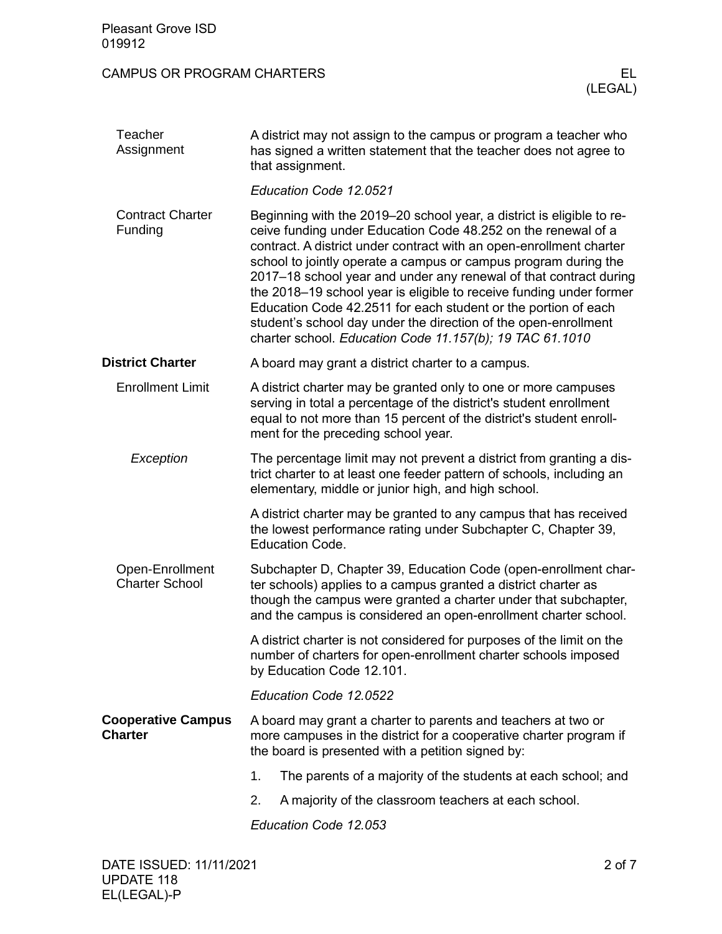| <b>Pleasant Grove ISD</b><br>019912         |                                                                                                                                                                                                                                                                         |                                                                                                                                                                                                                                                                                                                                                                                                                                                                                                                                                                                                                               |  |
|---------------------------------------------|-------------------------------------------------------------------------------------------------------------------------------------------------------------------------------------------------------------------------------------------------------------------------|-------------------------------------------------------------------------------------------------------------------------------------------------------------------------------------------------------------------------------------------------------------------------------------------------------------------------------------------------------------------------------------------------------------------------------------------------------------------------------------------------------------------------------------------------------------------------------------------------------------------------------|--|
| <b>CAMPUS OR PROGRAM CHARTERS</b>           |                                                                                                                                                                                                                                                                         | EL.<br>(LEGAL)                                                                                                                                                                                                                                                                                                                                                                                                                                                                                                                                                                                                                |  |
| Teacher<br>Assignment                       |                                                                                                                                                                                                                                                                         | A district may not assign to the campus or program a teacher who<br>has signed a written statement that the teacher does not agree to<br>that assignment.                                                                                                                                                                                                                                                                                                                                                                                                                                                                     |  |
|                                             |                                                                                                                                                                                                                                                                         | Education Code 12.0521                                                                                                                                                                                                                                                                                                                                                                                                                                                                                                                                                                                                        |  |
| <b>Contract Charter</b><br>Funding          |                                                                                                                                                                                                                                                                         | Beginning with the 2019–20 school year, a district is eligible to re-<br>ceive funding under Education Code 48.252 on the renewal of a<br>contract. A district under contract with an open-enrollment charter<br>school to jointly operate a campus or campus program during the<br>2017–18 school year and under any renewal of that contract during<br>the 2018–19 school year is eligible to receive funding under former<br>Education Code 42.2511 for each student or the portion of each<br>student's school day under the direction of the open-enrollment<br>charter school. Education Code 11.157(b); 19 TAC 61.1010 |  |
| <b>District Charter</b>                     | A board may grant a district charter to a campus.                                                                                                                                                                                                                       |                                                                                                                                                                                                                                                                                                                                                                                                                                                                                                                                                                                                                               |  |
| <b>Enrollment Limit</b>                     |                                                                                                                                                                                                                                                                         | A district charter may be granted only to one or more campuses<br>serving in total a percentage of the district's student enrollment<br>equal to not more than 15 percent of the district's student enroll-<br>ment for the preceding school year.                                                                                                                                                                                                                                                                                                                                                                            |  |
| Exception                                   |                                                                                                                                                                                                                                                                         | The percentage limit may not prevent a district from granting a dis-<br>trict charter to at least one feeder pattern of schools, including an<br>elementary, middle or junior high, and high school.                                                                                                                                                                                                                                                                                                                                                                                                                          |  |
|                                             |                                                                                                                                                                                                                                                                         | A district charter may be granted to any campus that has received<br>the lowest performance rating under Subchapter C, Chapter 39,<br><b>Education Code.</b>                                                                                                                                                                                                                                                                                                                                                                                                                                                                  |  |
| Open-Enrollment<br><b>Charter School</b>    | Subchapter D, Chapter 39, Education Code (open-enrollment char-<br>ter schools) applies to a campus granted a district charter as<br>though the campus were granted a charter under that subchapter,<br>and the campus is considered an open-enrollment charter school. |                                                                                                                                                                                                                                                                                                                                                                                                                                                                                                                                                                                                                               |  |
|                                             |                                                                                                                                                                                                                                                                         | A district charter is not considered for purposes of the limit on the<br>number of charters for open-enrollment charter schools imposed<br>by Education Code 12.101.                                                                                                                                                                                                                                                                                                                                                                                                                                                          |  |
|                                             |                                                                                                                                                                                                                                                                         | Education Code 12.0522                                                                                                                                                                                                                                                                                                                                                                                                                                                                                                                                                                                                        |  |
| <b>Cooperative Campus</b><br><b>Charter</b> | A board may grant a charter to parents and teachers at two or<br>more campuses in the district for a cooperative charter program if<br>the board is presented with a petition signed by:                                                                                |                                                                                                                                                                                                                                                                                                                                                                                                                                                                                                                                                                                                                               |  |
|                                             | 1.                                                                                                                                                                                                                                                                      | The parents of a majority of the students at each school; and                                                                                                                                                                                                                                                                                                                                                                                                                                                                                                                                                                 |  |
|                                             | 2.                                                                                                                                                                                                                                                                      | A majority of the classroom teachers at each school.                                                                                                                                                                                                                                                                                                                                                                                                                                                                                                                                                                          |  |
|                                             |                                                                                                                                                                                                                                                                         | Education Code 12.053                                                                                                                                                                                                                                                                                                                                                                                                                                                                                                                                                                                                         |  |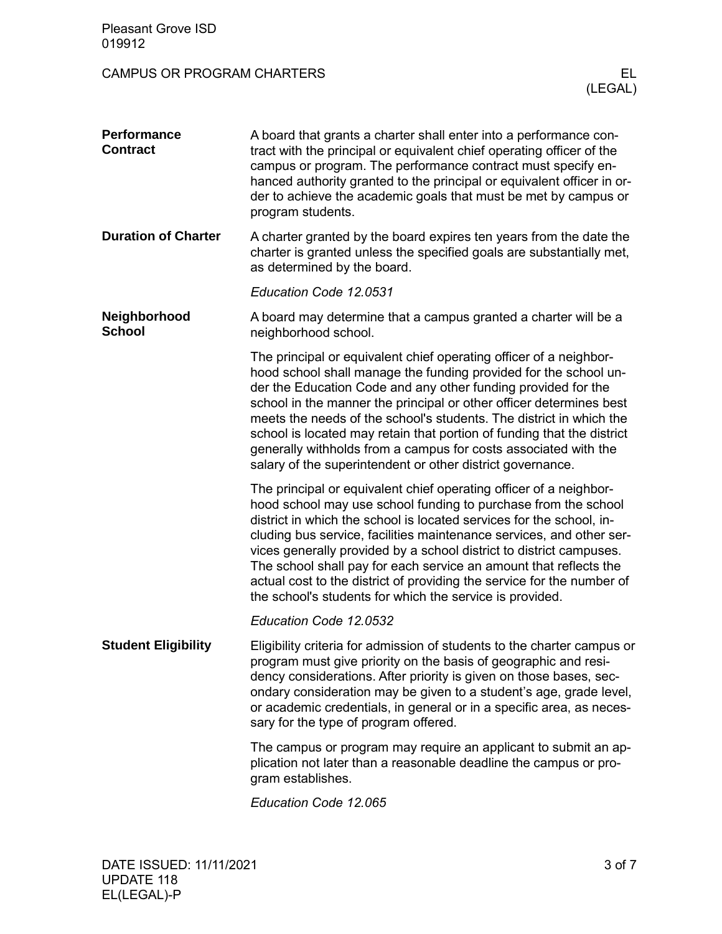| <b>Pleasant Grove ISD</b><br>019912   |                                                                                                                                                                                                                                                                                                                                                                                                                                                                                                                                                                        |
|---------------------------------------|------------------------------------------------------------------------------------------------------------------------------------------------------------------------------------------------------------------------------------------------------------------------------------------------------------------------------------------------------------------------------------------------------------------------------------------------------------------------------------------------------------------------------------------------------------------------|
| <b>CAMPUS OR PROGRAM CHARTERS</b>     | EL.<br>(LEGAL)                                                                                                                                                                                                                                                                                                                                                                                                                                                                                                                                                         |
| <b>Performance</b><br><b>Contract</b> | A board that grants a charter shall enter into a performance con-<br>tract with the principal or equivalent chief operating officer of the<br>campus or program. The performance contract must specify en-<br>hanced authority granted to the principal or equivalent officer in or-<br>der to achieve the academic goals that must be met by campus or<br>program students.                                                                                                                                                                                           |
| <b>Duration of Charter</b>            | A charter granted by the board expires ten years from the date the<br>charter is granted unless the specified goals are substantially met,<br>as determined by the board.                                                                                                                                                                                                                                                                                                                                                                                              |
|                                       | Education Code 12.0531                                                                                                                                                                                                                                                                                                                                                                                                                                                                                                                                                 |
| Neighborhood<br><b>School</b>         | A board may determine that a campus granted a charter will be a<br>neighborhood school.                                                                                                                                                                                                                                                                                                                                                                                                                                                                                |
|                                       | The principal or equivalent chief operating officer of a neighbor-<br>hood school shall manage the funding provided for the school un-<br>der the Education Code and any other funding provided for the<br>school in the manner the principal or other officer determines best<br>meets the needs of the school's students. The district in which the<br>school is located may retain that portion of funding that the district<br>generally withholds from a campus for costs associated with the<br>salary of the superintendent or other district governance.       |
|                                       | The principal or equivalent chief operating officer of a neighbor-<br>hood school may use school funding to purchase from the school<br>district in which the school is located services for the school, in-<br>cluding bus service, facilities maintenance services, and other ser-<br>vices generally provided by a school district to district campuses.<br>The school shall pay for each service an amount that reflects the<br>actual cost to the district of providing the service for the number of<br>the school's students for which the service is provided. |
|                                       | Education Code 12.0532                                                                                                                                                                                                                                                                                                                                                                                                                                                                                                                                                 |
| <b>Student Eligibility</b>            | Eligibility criteria for admission of students to the charter campus or<br>program must give priority on the basis of geographic and resi-<br>dency considerations. After priority is given on those bases, sec-<br>ondary consideration may be given to a student's age, grade level,<br>or academic credentials, in general or in a specific area, as neces-<br>sary for the type of program offered.                                                                                                                                                                |
|                                       | The campus or program may require an applicant to submit an ap-<br>plication not later than a reasonable deadline the campus or pro-<br>gram establishes.                                                                                                                                                                                                                                                                                                                                                                                                              |
|                                       | Education Code 12.065                                                                                                                                                                                                                                                                                                                                                                                                                                                                                                                                                  |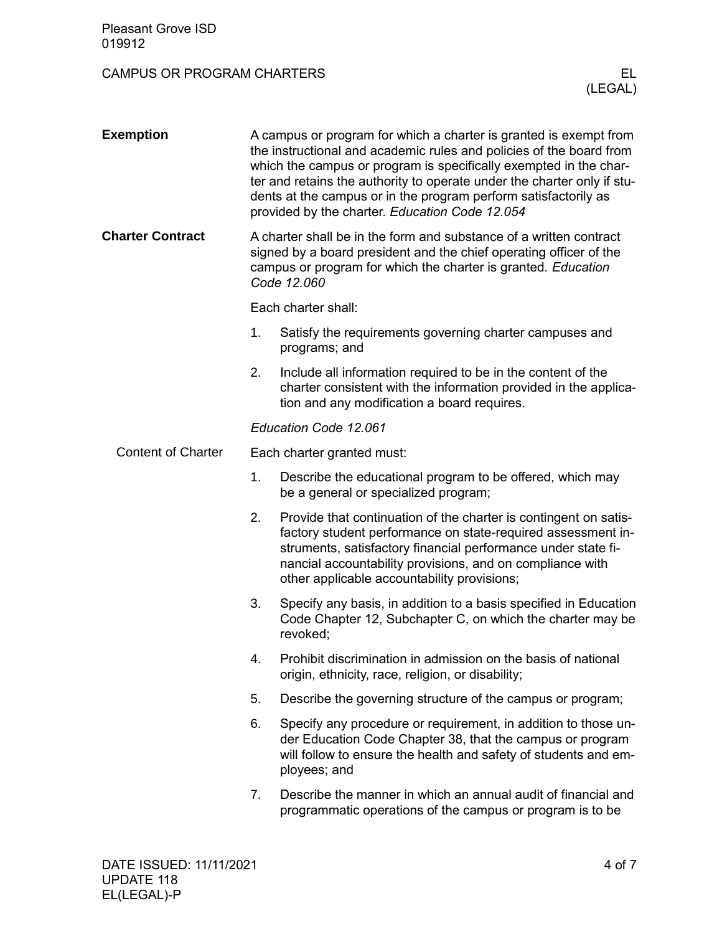| <b>Pleasant Grove ISD</b><br>019912 |                                                                                                                                                                                                                                                                                                                                                                                                               |                                                                                                                                                                                                                                                                                                               |  |
|-------------------------------------|---------------------------------------------------------------------------------------------------------------------------------------------------------------------------------------------------------------------------------------------------------------------------------------------------------------------------------------------------------------------------------------------------------------|---------------------------------------------------------------------------------------------------------------------------------------------------------------------------------------------------------------------------------------------------------------------------------------------------------------|--|
| <b>CAMPUS OR PROGRAM CHARTERS</b>   |                                                                                                                                                                                                                                                                                                                                                                                                               | EL.<br>(LEGAL)                                                                                                                                                                                                                                                                                                |  |
| <b>Exemption</b>                    | A campus or program for which a charter is granted is exempt from<br>the instructional and academic rules and policies of the board from<br>which the campus or program is specifically exempted in the char-<br>ter and retains the authority to operate under the charter only if stu-<br>dents at the campus or in the program perform satisfactorily as<br>provided by the charter. Education Code 12.054 |                                                                                                                                                                                                                                                                                                               |  |
| <b>Charter Contract</b>             | A charter shall be in the form and substance of a written contract<br>signed by a board president and the chief operating officer of the<br>campus or program for which the charter is granted. Education<br>Code 12.060                                                                                                                                                                                      |                                                                                                                                                                                                                                                                                                               |  |
|                                     |                                                                                                                                                                                                                                                                                                                                                                                                               | Each charter shall:                                                                                                                                                                                                                                                                                           |  |
|                                     | 1.                                                                                                                                                                                                                                                                                                                                                                                                            | Satisfy the requirements governing charter campuses and<br>programs; and                                                                                                                                                                                                                                      |  |
|                                     | 2.                                                                                                                                                                                                                                                                                                                                                                                                            | Include all information required to be in the content of the<br>charter consistent with the information provided in the applica-<br>tion and any modification a board requires.                                                                                                                               |  |
|                                     |                                                                                                                                                                                                                                                                                                                                                                                                               | Education Code 12.061                                                                                                                                                                                                                                                                                         |  |
| <b>Content of Charter</b>           |                                                                                                                                                                                                                                                                                                                                                                                                               | Each charter granted must:                                                                                                                                                                                                                                                                                    |  |
|                                     | 1.                                                                                                                                                                                                                                                                                                                                                                                                            | Describe the educational program to be offered, which may<br>be a general or specialized program;                                                                                                                                                                                                             |  |
|                                     | 2.                                                                                                                                                                                                                                                                                                                                                                                                            | Provide that continuation of the charter is contingent on satis-<br>factory student performance on state-required assessment in-<br>struments, satisfactory financial performance under state fi-<br>nancial accountability provisions, and on compliance with<br>other applicable accountability provisions; |  |
|                                     | 3.                                                                                                                                                                                                                                                                                                                                                                                                            | Specify any basis, in addition to a basis specified in Education<br>Code Chapter 12, Subchapter C, on which the charter may be<br>revoked;                                                                                                                                                                    |  |
|                                     | 4.                                                                                                                                                                                                                                                                                                                                                                                                            | Prohibit discrimination in admission on the basis of national<br>origin, ethnicity, race, religion, or disability;                                                                                                                                                                                            |  |
|                                     | 5.                                                                                                                                                                                                                                                                                                                                                                                                            | Describe the governing structure of the campus or program;                                                                                                                                                                                                                                                    |  |
|                                     | 6.                                                                                                                                                                                                                                                                                                                                                                                                            | Specify any procedure or requirement, in addition to those un-<br>der Education Code Chapter 38, that the campus or program<br>will follow to ensure the health and safety of students and em-<br>ployees; and                                                                                                |  |
|                                     | 7.                                                                                                                                                                                                                                                                                                                                                                                                            | Describe the manner in which an annual audit of financial and<br>programmatic operations of the campus or program is to be                                                                                                                                                                                    |  |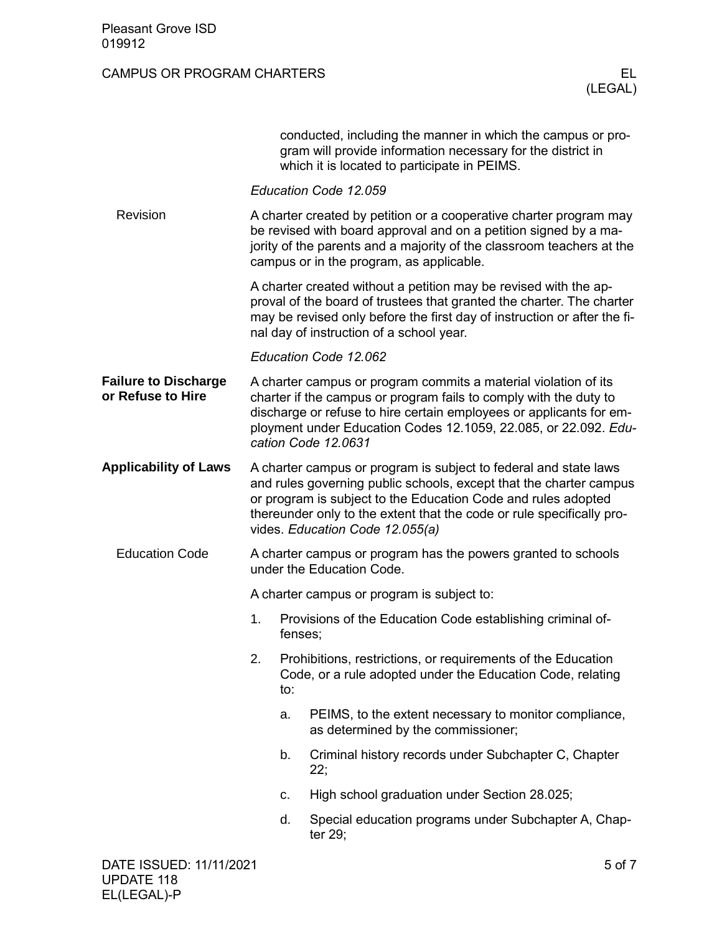## CAMPUS OR PROGRAM CHARTERS ELECTED AND THE RELATIONS OR PROGRAM CHARTERS

|                                                  |                                                                                            |                                                                                                                                                                                                                                                             | conducted, including the manner in which the campus or pro-<br>gram will provide information necessary for the district in<br>which it is located to participate in PEIMS.                                                                                                                                          |        |  |  |
|--------------------------------------------------|--------------------------------------------------------------------------------------------|-------------------------------------------------------------------------------------------------------------------------------------------------------------------------------------------------------------------------------------------------------------|---------------------------------------------------------------------------------------------------------------------------------------------------------------------------------------------------------------------------------------------------------------------------------------------------------------------|--------|--|--|
|                                                  |                                                                                            |                                                                                                                                                                                                                                                             | Education Code 12.059                                                                                                                                                                                                                                                                                               |        |  |  |
| Revision                                         |                                                                                            | A charter created by petition or a cooperative charter program may<br>be revised with board approval and on a petition signed by a ma-<br>jority of the parents and a majority of the classroom teachers at the<br>campus or in the program, as applicable. |                                                                                                                                                                                                                                                                                                                     |        |  |  |
|                                                  |                                                                                            |                                                                                                                                                                                                                                                             | A charter created without a petition may be revised with the ap-<br>proval of the board of trustees that granted the charter. The charter<br>may be revised only before the first day of instruction or after the fi-<br>nal day of instruction of a school year.                                                   |        |  |  |
|                                                  |                                                                                            |                                                                                                                                                                                                                                                             | Education Code 12.062                                                                                                                                                                                                                                                                                               |        |  |  |
| <b>Failure to Discharge</b><br>or Refuse to Hire |                                                                                            |                                                                                                                                                                                                                                                             | A charter campus or program commits a material violation of its<br>charter if the campus or program fails to comply with the duty to<br>discharge or refuse to hire certain employees or applicants for em-<br>ployment under Education Codes 12.1059, 22.085, or 22.092. Edu-<br>cation Code 12.0631               |        |  |  |
| <b>Applicability of Laws</b>                     |                                                                                            |                                                                                                                                                                                                                                                             | A charter campus or program is subject to federal and state laws<br>and rules governing public schools, except that the charter campus<br>or program is subject to the Education Code and rules adopted<br>thereunder only to the extent that the code or rule specifically pro-<br>vides. Education Code 12.055(a) |        |  |  |
| <b>Education Code</b>                            | A charter campus or program has the powers granted to schools<br>under the Education Code. |                                                                                                                                                                                                                                                             |                                                                                                                                                                                                                                                                                                                     |        |  |  |
|                                                  |                                                                                            | A charter campus or program is subject to:                                                                                                                                                                                                                  |                                                                                                                                                                                                                                                                                                                     |        |  |  |
|                                                  | 1.                                                                                         | fenses;                                                                                                                                                                                                                                                     | Provisions of the Education Code establishing criminal of-                                                                                                                                                                                                                                                          |        |  |  |
|                                                  | 2.                                                                                         | to:                                                                                                                                                                                                                                                         | Prohibitions, restrictions, or requirements of the Education<br>Code, or a rule adopted under the Education Code, relating                                                                                                                                                                                          |        |  |  |
|                                                  |                                                                                            | a.                                                                                                                                                                                                                                                          | PEIMS, to the extent necessary to monitor compliance,<br>as determined by the commissioner;                                                                                                                                                                                                                         |        |  |  |
|                                                  |                                                                                            | b.                                                                                                                                                                                                                                                          | Criminal history records under Subchapter C, Chapter<br>22;                                                                                                                                                                                                                                                         |        |  |  |
|                                                  |                                                                                            | c.                                                                                                                                                                                                                                                          | High school graduation under Section 28.025;                                                                                                                                                                                                                                                                        |        |  |  |
|                                                  |                                                                                            | d.                                                                                                                                                                                                                                                          | Special education programs under Subchapter A, Chap-<br>ter 29;                                                                                                                                                                                                                                                     |        |  |  |
| DATE ISSUED: 11/11/2021                          |                                                                                            |                                                                                                                                                                                                                                                             |                                                                                                                                                                                                                                                                                                                     | 5 of 7 |  |  |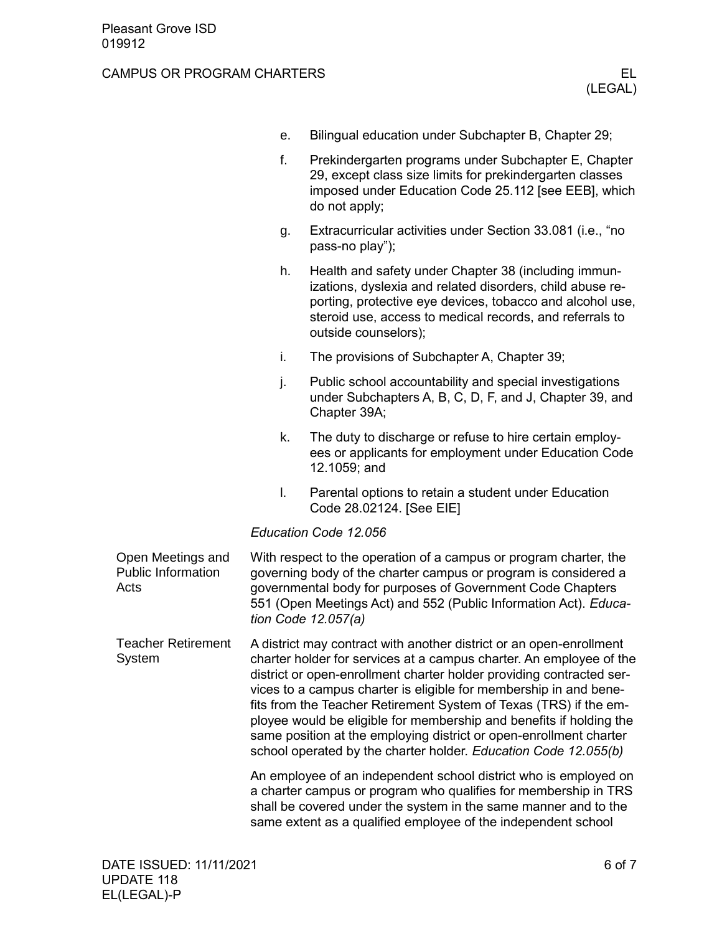## CAMPUS OR PROGRAM CHARTERS ELECTRIC METAL CONTROL CAMPUS OR PROGRAM CHARTERS

| е. | Bilingual education under Subchapter B, Chapter 29; |  |
|----|-----------------------------------------------------|--|
|    |                                                     |  |

- f. Prekindergarten programs under Subchapter E, Chapter 29, except class size limits for prekindergarten classes imposed under Education Code 25.112 [see EEB], which do not apply;
- g. Extracurricular activities under Section 33.081 (i.e., "no pass-no play");
- h. Health and safety under Chapter 38 (including immunizations, dyslexia and related disorders, child abuse reporting, protective eye devices, tobacco and alcohol use, steroid use, access to medical records, and referrals to outside counselors);
- i. The provisions of Subchapter A, Chapter 39;
- j. Public school accountability and special investigations under Subchapters A, B, C, D, F, and J, Chapter 39, and Chapter 39A;
- k. The duty to discharge or refuse to hire certain employees or applicants for employment under Education Code 12.1059; and
- l. Parental options to retain a student under Education Code 28.02124. [See EIE]

## *Education Code 12.056*

| Open Meetings and<br><b>Public Information</b><br>Acts | With respect to the operation of a campus or program charter, the<br>governing body of the charter campus or program is considered a<br>governmental body for purposes of Government Code Chapters<br>551 (Open Meetings Act) and 552 (Public Information Act). Educa-<br>tion Code 12.057(a)                                                                                                                                                                                                                                                                                |
|--------------------------------------------------------|------------------------------------------------------------------------------------------------------------------------------------------------------------------------------------------------------------------------------------------------------------------------------------------------------------------------------------------------------------------------------------------------------------------------------------------------------------------------------------------------------------------------------------------------------------------------------|
| <b>Teacher Retirement</b><br>System                    | A district may contract with another district or an open-enrollment<br>charter holder for services at a campus charter. An employee of the<br>district or open-enrollment charter holder providing contracted ser-<br>vices to a campus charter is eligible for membership in and bene-<br>fits from the Teacher Retirement System of Texas (TRS) if the em-<br>ployee would be eligible for membership and benefits if holding the<br>same position at the employing district or open-enrollment charter<br>school operated by the charter holder. Education Code 12.055(b) |
|                                                        | An employee of an independent school district who is employed on<br>a charter campus or program who qualifies for membership in TRS<br>shall be covered under the system in the same manner and to the<br>same extent as a qualified employee of the independent school                                                                                                                                                                                                                                                                                                      |